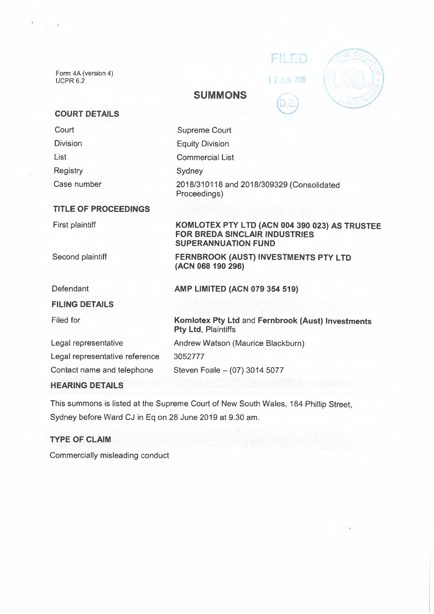Form 4A (version 4) UCPR 6.2

 $\sim$   $\sim$ 

| FILED      |  |
|------------|--|
| 2 JUN 2019 |  |
|            |  |

## **SUMMONS**

## **COURT DETAILS**

| <b>Supreme Court</b>                                                                                                |
|---------------------------------------------------------------------------------------------------------------------|
| <b>Equity Division</b>                                                                                              |
| <b>Commercial List</b>                                                                                              |
| Sydney                                                                                                              |
| 2018/310118 and 2018/309329 (Consolidated<br>Proceedings)                                                           |
|                                                                                                                     |
| KOMLOTEX PTY LTD (ACN 004 390 023) AS TRUSTEE<br><b>FOR BREDA SINCLAIR INDUSTRIES</b><br><b>SUPERANNUATION FUND</b> |
| FERNBROOK (AUST) INVESTMENTS PTY LTD<br>(ACN 068 190 296)                                                           |
| AMP LIMITED (ACN 079 354 519)                                                                                       |
|                                                                                                                     |
| Komlotex Pty Ltd and Fernbrook (Aust) Investments<br>Pty Ltd, Plaintiffs                                            |
| Andrew Watson (Maurice Blackburn)                                                                                   |
| 3052777                                                                                                             |
| Steven Foale - (07) 3014 5077                                                                                       |
|                                                                                                                     |
|                                                                                                                     |

# This summons is listed at the Supreme Court of New South Wales, 184 Phillip Street, Sydney before Ward CJ in Eq on 28 June 2019 at 9.30 am.

## **TYPE OF CLAIM**

Commercially misleading conduct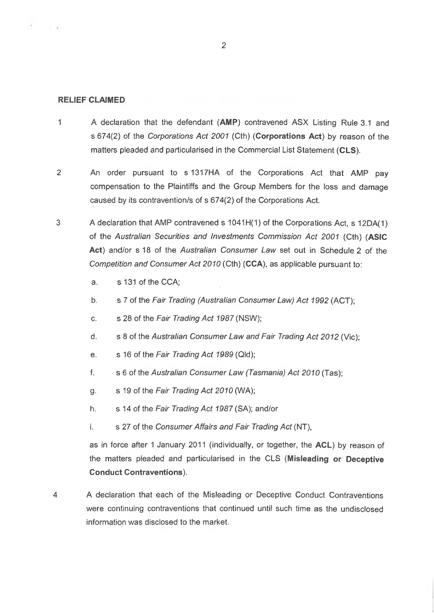#### **RELIEF CLAIMED**

4. 一定

- <sup>1</sup> A declaration that the defendant **(AMP)** contravened ASX Listing Rule 3.1 and s 674(2) of the *Corporations Act 2001* (Cth) **(Corporations Act)** by reason of the matters pleaded and particularised in the Commercial List Statement **(CLS).**
- 2 An order pursuant to s 1317HA of the Corporations Act that AMP pay compensation to the Plaintiffs and the Group Members for the loss and damage caused by its contravention/s of s 674(2) of the Corporations Act.
- 3 A declaration that AMP contravened s 1041H(1) of the Corporations Act, s 12DA(1) of the *Australian Securities and Investments Commission Act 2001* (Cth) **(ASIC Act)** and/or s 18 of the *Australian Consumer Law* set out in Schedule 2 of the *Competition and Consumer Act 2010* (Cth) **(CCA),** as applicable pursuant to:
	- a. s 131 of the CCA;
	- b. s 7 of the *Fair Trading (Australian Consumer Law) Act 1992* (ACT);
	- c. s 28 of the *Fair Trading Act 1987* (NSW);
	- d. s 8 of the *Australian Consumer Law and Fair Trading Act 2012* (Vic);
	- e. s 16 of the *Fair Trading Act 1989* (Qld);
	- f. s 6 of the *Australian Consumer Law (Tasmania) Act 2010* (Tas);
	- g. s 19 of the *Fair Trading Act 2010* (WA);
	- h. s 14 of the *Fair Trading Act 1987* (SA); and/or
	- i. s 27 of the *Consumer Affairs and Fair Trading Act* (NT),

as in force after <sup>1</sup> January 2011 (individually, or together, the **ACL)** by reason of the matters pleaded and particularised in the CLS **(Misleading or Deceptive Conduct Contraventions).**

4 A declaration that each of the Misleading or Deceptive Conduct Contraventions were continuing contraventions that continued until such time as the undisclosed information was disclosed to the market.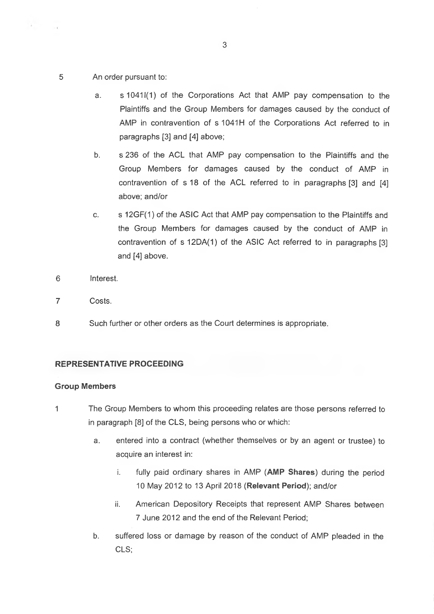5 An order pursuant to:

 $\lambda$  .  $\lambda$  ,  $\lambda$ 

- a. s 10411(1) of the Corporations Act that AMP pay compensation to the Plaintiffs and the Group Members for damages caused by the conduct of AMP in contravention of s 1041H of the Corporations Act referred to in paragraphs [3] and [4] above;
- b. s 236 of the ACL that AMP pay compensation to the Plaintiffs and the Group Members for damages caused by the conduct of AMP in contravention of s 18 of the ACL referred to in paragraphs [3] and [4] above; and/or
- c. s 12GF(1) of the ASIC Act that AMP pay compensation to the Plaintiffs and the Group Members for damages caused by the conduct of AMP in contravention of s 12DA(1) of the ASIC Act referred to in paragraphs [3] and [4] above.
- 6 Interest.
- 7 Costs.
- 8 Such further or other orders as the Court determines is appropriate.

### **REPRESENTATIVE PROCEEDING**

#### **Group Members**

- <sup>1</sup> The Group Members to whom this proceeding relates are those persons referred to in paragraph [8] of the CLS, being persons who or which:
	- a. entered into a contract (whether themselves or by an agent or trustee) to acquire an interest in:
		- i. fully paid ordinary shares in AMP **(AMP Shares)** during the period 10 May 2012 to 13 April 2018 **(Relevant Period);** and/or
		- ii. American Depository Receipts that represent AMP Shares between 7 June 2012 and the end of the Relevant Period;
	- b. suffered loss or damage by reason of the conduct of AMP pleaded in the CLS;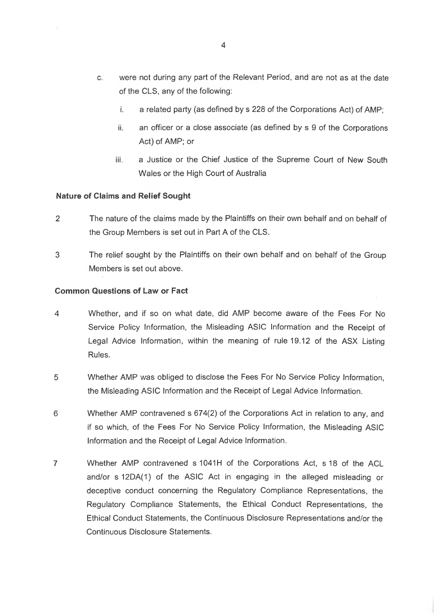- c. were not during any part of the Relevant Period, and are not as at the date of the CLS, any of the following:
	- i. a related party (as defined by s 228 of the Corporations Act) of AMP;
	- ii. an officer or a close associate (as defined by s 9 of the Corporations Act) of AMP; or
	- iii. a Justice or the Chief Justice of the Supreme Court of New South Wales or the High Court of Australia

#### **Nature of Claims and Relief Sought**

- 2 The nature of the claims made by the Plaintiffs on their own behalf and on behalf of the Group Members is set out in Part A of the CLS.
- 3 The relief sought by the Plaintiffs on their own behalf and on behalf of the Group Members is set out above.

#### **Common Questions of Law or Fact**

- 4 Whether, and if so on what date, did AMP become aware of the Fees For No Service Policy Information, the Misleading ASIC Information and the Receipt of Legal Advice Information, within the meaning of rule 19.12 of the ASX Listing Rules.
- 5 Whether AMP was obliged to disclose the Fees For No Service Policy Information, the Misleading ASIC Information and the Receipt of Legal Advice Information.
- 6 Whether AMP contravened s 674(2) of the Corporations Act in relation to any, and if so which, of the Fees For No Service Policy Information, the Misleading ASIC Information and the Receipt of Legal Advice Information.
- 7 Whether AMP contravened s 1041H of the Corporations Act, s 18 of the ACL and/or s12DA(1) of the ASIC Act in engaging in the alleged misleading or deceptive conduct concerning the Regulatory Compliance Representations, the Regulatory Compliance Statements, the Ethical Conduct Representations, the Ethical Conduct Statements, the Continuous Disclosure Representations and/or the Continuous Disclosure Statements.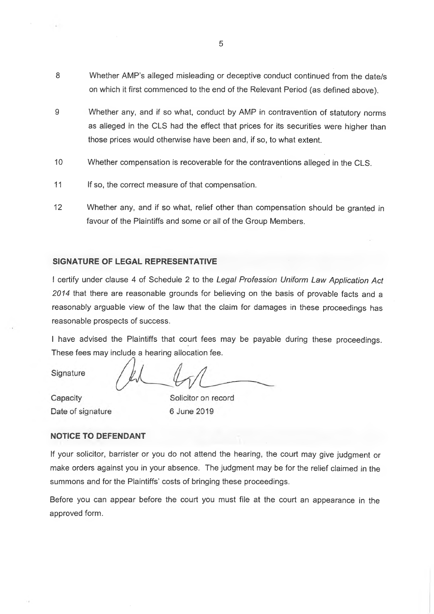- 8 Whether AMP's alleged misleading or deceptive conduct continued from the date/s on which it first commenced to the end of the Relevant Period (as defined above).
- 9 Whether any, and if so what, conduct by AMP in contravention of statutory norms as alleged in the CLS had the effect that prices for its securities were higher than those prices would otherwise have been and, if so, to what extent.
- 10 Whether compensation is recoverable for the contraventions alleged in the CLS.
- 11 If so, the correct measure of that compensation.
- 12 Whether any, and if so what, relief other than compensation should be granted in favour of the Plaintiffs and some or all of the Group Members.

#### **SIGNATURE OF LEGAL REPRESENTATIVE**

<sup>I</sup> certify under clause 4 of Schedule 2 to the *Legal Profession Uniform Law Application Act 2014* that there are reasonable grounds for believing on the basis of provable facts and a reasonably arguable view of the law that the claim for damages in these proceedings has reasonable prospects of success.

<sup>I</sup> have advised the Plaintiffs that court fees may be payable during these proceedings. These fees may include a hearing allocation fee.

Signature

 $\ddot{ }$ 

Capacity Date of signature

Solicitor on record 6 June 2019

#### **NOTICE TO DEFENDANT**

If your solicitor, barrister or you do not attend the hearing, the court may give judgment or make orders against you in your absence. The judgment may be for the relief claimed in the summons and for the Plaintiffs' costs of bringing these proceedings.

Before you can appear before the court you must file at the court an appearance in the approved form.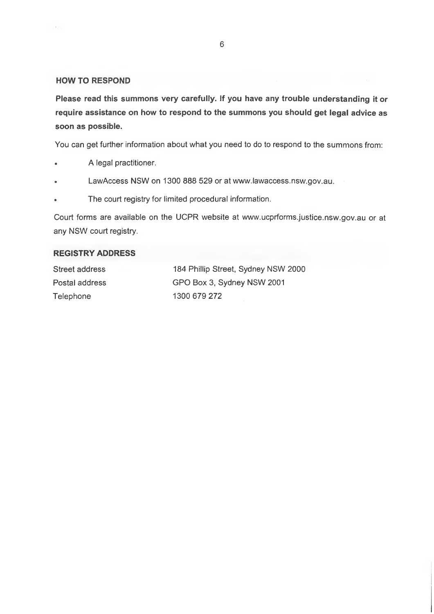#### **HOW TO RESPOND**

 $\alpha$  .

**Please read this summons very carefully. If you have any trouble understanding it or require assistance on how to respond to the summons you should get legal advice as soon as possible.**

You can get further information about what you need to do to respond to the summons from:

- . A legal practitioner.
- . LawAccess NSW on 1300 888 529 or at [www.lawaccess.nsw.gov.au](http://www.lawaccess.nsw.gov.au).
- . The court registry for limited procedural information.

Court forms are available on the UCPR website at [www.ucprforms.justice.nsw.gov.au](http://www.ucprforms.justice.nsw.gov.au) or at any NSW court registry.

#### **REGISTRY ADDRESS**

| Street address | 184 Phillip Street, Sydney NSW 2000 |
|----------------|-------------------------------------|
| Postal address | GPO Box 3, Sydney NSW 2001          |
| Telephone      | 1300 679 272                        |